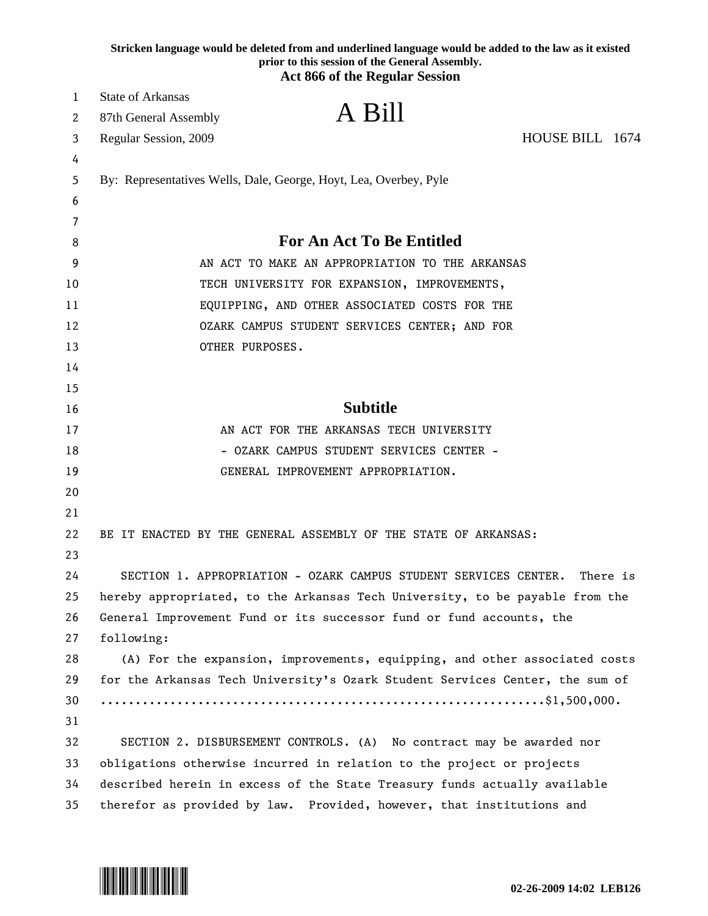|    | Stricken language would be deleted from and underlined language would be added to the law as it existed<br>prior to this session of the General Assembly.<br><b>Act 866 of the Regular Session</b> |
|----|----------------------------------------------------------------------------------------------------------------------------------------------------------------------------------------------------|
| 1  | <b>State of Arkansas</b>                                                                                                                                                                           |
| 2  | A Bill<br>87th General Assembly                                                                                                                                                                    |
| 3  | HOUSE BILL 1674<br>Regular Session, 2009                                                                                                                                                           |
| 4  |                                                                                                                                                                                                    |
| 5  | By: Representatives Wells, Dale, George, Hoyt, Lea, Overbey, Pyle                                                                                                                                  |
| 6  |                                                                                                                                                                                                    |
| 7  |                                                                                                                                                                                                    |
| 8  | <b>For An Act To Be Entitled</b>                                                                                                                                                                   |
| 9  | AN ACT TO MAKE AN APPROPRIATION TO THE ARKANSAS                                                                                                                                                    |
| 10 | TECH UNIVERSITY FOR EXPANSION, IMPROVEMENTS,                                                                                                                                                       |
| 11 | EQUIPPING, AND OTHER ASSOCIATED COSTS FOR THE                                                                                                                                                      |
| 12 | OZARK CAMPUS STUDENT SERVICES CENTER; AND FOR                                                                                                                                                      |
| 13 | OTHER PURPOSES.                                                                                                                                                                                    |
| 14 |                                                                                                                                                                                                    |
| 15 |                                                                                                                                                                                                    |
| 16 | <b>Subtitle</b>                                                                                                                                                                                    |
| 17 | AN ACT FOR THE ARKANSAS TECH UNIVERSITY                                                                                                                                                            |
| 18 | - OZARK CAMPUS STUDENT SERVICES CENTER -                                                                                                                                                           |
| 19 | GENERAL IMPROVEMENT APPROPRIATION.                                                                                                                                                                 |
| 20 |                                                                                                                                                                                                    |
| 21 |                                                                                                                                                                                                    |
| 22 | BE IT ENACTED BY THE GENERAL ASSEMBLY OF THE STATE OF ARKANSAS:                                                                                                                                    |
| 23 |                                                                                                                                                                                                    |
| 24 | SECTION 1. APPROPRIATION - OZARK CAMPUS STUDENT SERVICES CENTER.<br>There is                                                                                                                       |
| 25 | hereby appropriated, to the Arkansas Tech University, to be payable from the                                                                                                                       |
| 26 | General Improvement Fund or its successor fund or fund accounts, the                                                                                                                               |
| 27 | following:                                                                                                                                                                                         |
| 28 | (A) For the expansion, improvements, equipping, and other associated costs                                                                                                                         |
| 29 | for the Arkansas Tech University's Ozark Student Services Center, the sum of                                                                                                                       |
| 30 |                                                                                                                                                                                                    |
| 31 |                                                                                                                                                                                                    |
| 32 | SECTION 2. DISBURSEMENT CONTROLS. (A) No contract may be awarded nor                                                                                                                               |
| 33 | obligations otherwise incurred in relation to the project or projects                                                                                                                              |
| 34 | described herein in excess of the State Treasury funds actually available                                                                                                                          |
| 35 | therefor as provided by law. Provided, however, that institutions and                                                                                                                              |